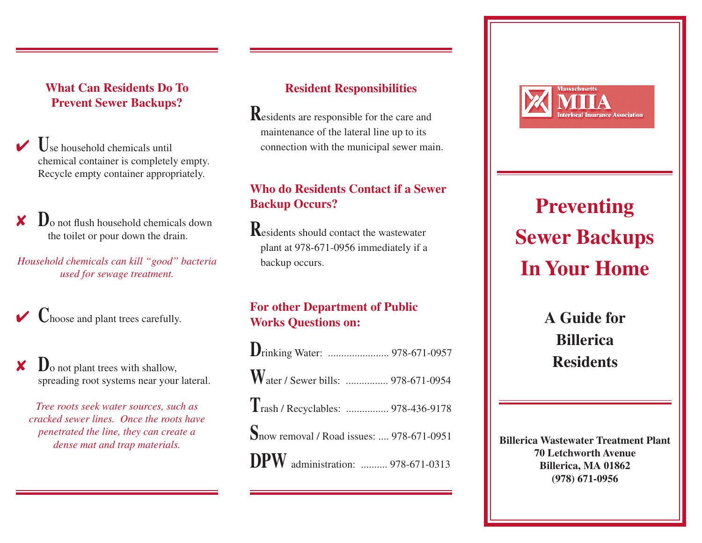### **What Can Residents Do To Prevent Sewer Backups?**

- 4 **U**se household chemicals until chemical container is completely empty. Recycle empty container appropriately.
- **D**<sub>o</sub> not flush household chemicals down the toilet or pour down the drain.
- *Household chemicals can kill "good" bacteria used for sewage treatment.*

 $\vee$  **C**hoose and plant trees carefully.

**D**<sub>o</sub> not plant trees with shallow, spreading root systems near your lateral.

*Tree roots seek water sources, such as cracked sewer lines. Once the roots have penetrated the line, they can create a dense mat and trap materials.*

#### **Resident Responsibilities**

**R**esidents are responsible for the care and maintenance of the lateral line up to its connection with the municipal sewer main.

## **Who do Residents Contact if a Sewer Backup Occurs?**

**R**esidents should contact the wastewater plant at 978-671-0956 immediately if a backup occurs.

### **For other Department of Public Works Questions on:**

| Water / Sewer bills:  978-671-0954                |
|---------------------------------------------------|
| Trash / Recyclables:  978-436-9178                |
| <b>S</b> now removal / Road issues:  978-671-0951 |
| DPW administration:  978-671-0313                 |



# **Preventing Sewer Backups In Your Home**

**A Guide for Billerica Residents**

**Billerica Wastewater Treatment Plant 70 Letchworth Avenue Billerica, MA 01862 (978) 671-0956**